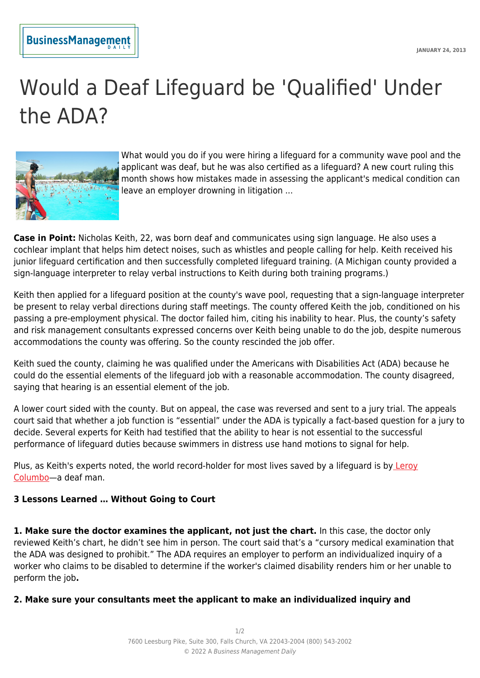## **BusinessManagement**

## Would a Deaf Lifeguard be 'Qualified' Under the ADA?



What would you do if you were hiring a lifeguard for a community wave pool and the applicant was deaf, but he was also certified as a lifeguard? A new court ruling this month shows how mistakes made in assessing the applicant's medical condition can leave an employer drowning in litigation ...

**Case in Point:** Nicholas Keith, 22, was born deaf and communicates using sign language. He also uses a cochlear implant that helps him detect noises, such as whistles and people calling for help. Keith received his junior lifeguard certification and then successfully completed lifeguard training. (A Michigan county provided a sign-language interpreter to relay verbal instructions to Keith during both training programs.)

Keith then applied for a lifeguard position at the county's wave pool, requesting that a sign-language interpreter be present to relay verbal directions during staff meetings. The county offered Keith the job, conditioned on his passing a pre-employment physical. The doctor failed him, citing his inability to hear. Plus, the county's safety and risk management consultants expressed concerns over Keith being unable to do the job, despite numerous accommodations the county was offering. So the county rescinded the job offer.

Keith sued the county, claiming he was qualified under the Americans with Disabilities Act (ADA) because he could do the essential elements of the lifeguard job with a reasonable accommodation. The county disagreed, saying that hearing is an essential element of the job.

A lower court sided with the county. But on appeal, the case was reversed and sent to a jury trial. The appeals court said that whether a job function is "essential" under the ADA is typically a fact-based question for a jury to decide. Several experts for Keith had testified that the ability to hear is not essential to the successful performance of lifeguard duties because swimmers in distress use hand motions to signal for help.

Plus, as Keith's experts noted, the world record-holder for most lives saved by a lifeguard is by [Leroy](http://www.start-american-sign-language.com/leroy-colombo.html) [Columbo—](http://www.start-american-sign-language.com/leroy-colombo.html)a deaf man.

## **3 Lessons Learned … Without Going to Court**

**1. Make sure the doctor examines the applicant, not just the chart.** In this case, the doctor only reviewed Keith's chart, he didn't see him in person. The court said that's a "cursory medical examination that the ADA was designed to prohibit." The ADA requires an employer to perform an individualized inquiry of a worker who claims to be disabled to determine if the worker's claimed disability renders him or her unable to perform the job**.**

## **2. Make sure your consultants meet the applicant to make an individualized inquiry and**